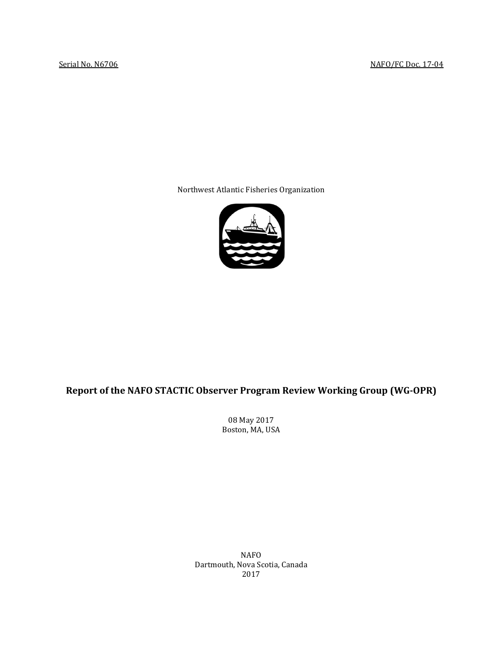Northwest Atlantic Fisheries Organization



# **Report of the NAFO STACTIC Observer Program Review Working Group (WG-OPR)**

08 May 2017 Boston, MA, USA

NAFO Dartmouth, Nova Scotia, Canada 2017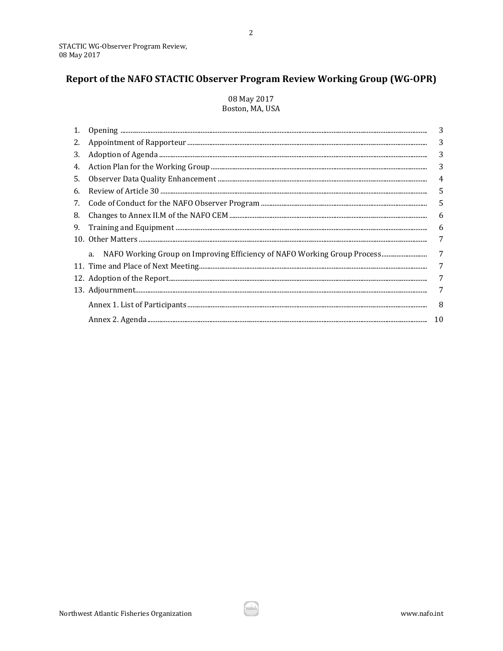# Report of the NAFO STACTIC Observer Program Review Working Group (WG-OPR)

## 08 May 2017 Boston, MA, USA

|    | $\begin{minipage}[c]{.45\textwidth} \centering \begin{tabular}[c]{@{}l@{}} \textbf{Opening} & \textbf{if} & \textbf{if} \\ \textbf{if} & \textbf{if} \\ \textbf{if} & \textbf{if} \\ \textbf{if} & \textbf{if} \\ \textbf{if} & \textbf{if} \\ \textbf{if} & \textbf{if} \\ \textbf{if} & \textbf{if} \\ \textbf{if} & \textbf{if} \\ \textbf{if} & \textbf{if} \\ \textbf{if} & \textbf{if} \\ \textbf{if} & \textbf{if} \\ \textbf{if} & \textbf{if} \\ \textbf{if} & \textbf{if$ | 3  |
|----|-------------------------------------------------------------------------------------------------------------------------------------------------------------------------------------------------------------------------------------------------------------------------------------------------------------------------------------------------------------------------------------------------------------------------------------------------------------------------------------|----|
| 2. |                                                                                                                                                                                                                                                                                                                                                                                                                                                                                     | 3  |
| 3. |                                                                                                                                                                                                                                                                                                                                                                                                                                                                                     | 3  |
| 4. |                                                                                                                                                                                                                                                                                                                                                                                                                                                                                     | 3  |
| 5. |                                                                                                                                                                                                                                                                                                                                                                                                                                                                                     | 4  |
| 6. |                                                                                                                                                                                                                                                                                                                                                                                                                                                                                     | 5  |
| 7. |                                                                                                                                                                                                                                                                                                                                                                                                                                                                                     | 5  |
| 8. |                                                                                                                                                                                                                                                                                                                                                                                                                                                                                     | 6  |
|    |                                                                                                                                                                                                                                                                                                                                                                                                                                                                                     | 6  |
|    |                                                                                                                                                                                                                                                                                                                                                                                                                                                                                     | 7  |
|    | a.                                                                                                                                                                                                                                                                                                                                                                                                                                                                                  | 7  |
|    |                                                                                                                                                                                                                                                                                                                                                                                                                                                                                     | 7  |
|    |                                                                                                                                                                                                                                                                                                                                                                                                                                                                                     | 7  |
|    |                                                                                                                                                                                                                                                                                                                                                                                                                                                                                     | 7  |
|    |                                                                                                                                                                                                                                                                                                                                                                                                                                                                                     | -8 |
|    |                                                                                                                                                                                                                                                                                                                                                                                                                                                                                     | 10 |

ايڭ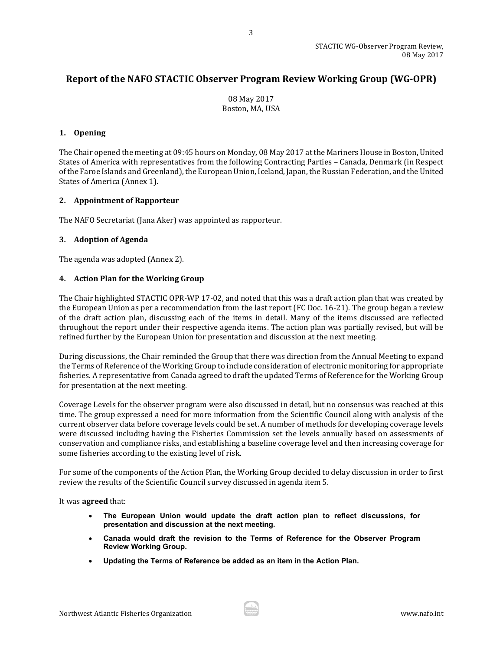## **Report of the NAFO STACTIC Observer Program Review Working Group (WG-OPR)**

08 May 2017 Boston, MA, USA

## <span id="page-2-0"></span>**1. Opening**

The Chair opened the meeting at 09:45 hours on Monday, 08 May 2017 at the Mariners House in Boston, United States of America with representatives from the following Contracting Parties – Canada, Denmark (in Respect of the Faroe Islands and Greenland), the European Union, Iceland, Japan,the Russian Federation, and the United States of America (Annex 1).

## <span id="page-2-1"></span>**2. Appointment of Rapporteur**

The NAFO Secretariat (Jana Aker) was appointed as rapporteur.

## <span id="page-2-2"></span>**3. Adoption of Agenda**

The agenda was adopted (Annex 2).

## <span id="page-2-3"></span>**4. Action Plan for the Working Group**

The Chair highlighted STACTIC OPR-WP 17-02, and noted that this was a draft action plan that was created by the European Union as per a recommendation from the last report (FC Doc. 16-21). The group began a review of the draft action plan, discussing each of the items in detail. Many of the items discussed are reflected throughout the report under their respective agenda items. The action plan was partially revised, but will be refined further by the European Union for presentation and discussion at the next meeting.

During discussions, the Chair reminded the Group that there was direction from the Annual Meeting to expand the Terms of Reference of the Working Group to include consideration of electronic monitoring for appropriate fisheries. A representative from Canada agreed to draft the updated Terms of Reference for the Working Group for presentation at the next meeting.

Coverage Levels for the observer program were also discussed in detail, but no consensus was reached at this time. The group expressed a need for more information from the Scientific Council along with analysis of the current observer data before coverage levels could be set. A number of methods for developing coverage levels were discussed including having the Fisheries Commission set the levels annually based on assessments of conservation and compliance risks, and establishing a baseline coverage level and then increasing coverage for some fisheries according to the existing level of risk.

For some of the components of the Action Plan, the Working Group decided to delay discussion in order to first review the results of the Scientific Council survey discussed in agenda item 5.

It was **agreed** that:

- **The European Union would update the draft action plan to reflect discussions, for presentation and discussion at the next meeting.**
- **Canada would draft the revision to the Terms of Reference for the Observer Program Review Working Group.**
- **Updating the Terms of Reference be added as an item in the Action Plan.**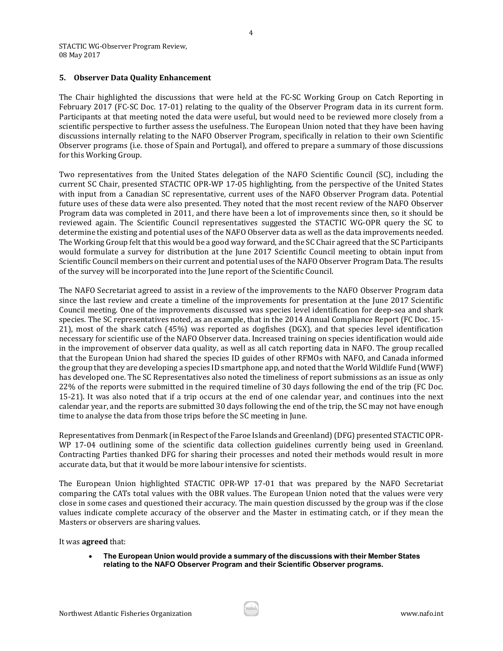#### <span id="page-3-0"></span>**5. Observer Data Quality Enhancement**

The Chair highlighted the discussions that were held at the FC-SC Working Group on Catch Reporting in February 2017 (FC-SC Doc. 17-01) relating to the quality of the Observer Program data in its current form. Participants at that meeting noted the data were useful, but would need to be reviewed more closely from a scientific perspective to further assess the usefulness. The European Union noted that they have been having discussions internally relating to the NAFO Observer Program, specifically in relation to their own Scientific Observer programs (i.e. those of Spain and Portugal), and offered to prepare a summary of those discussions for this Working Group.

Two representatives from the United States delegation of the NAFO Scientific Council (SC), including the current SC Chair, presented STACTIC OPR-WP 17-05 highlighting, from the perspective of the United States with input from a Canadian SC representative, current uses of the NAFO Observer Program data. Potential future uses of these data were also presented. They noted that the most recent review of the NAFO Observer Program data was completed in 2011, and there have been a lot of improvements since then, so it should be reviewed again. The Scientific Council representatives suggested the STACTIC WG-OPR query the SC to determine the existing and potential uses of the NAFO Observer data as well as the data improvements needed. The Working Group felt that this would be a good way forward, and the SC Chair agreed that the SC Participants would formulate a survey for distribution at the June 2017 Scientific Council meeting to obtain input from Scientific Council members on their current and potential uses of the NAFO Observer Program Data. The results of the survey will be incorporated into the June report of the Scientific Council.

The NAFO Secretariat agreed to assist in a review of the improvements to the NAFO Observer Program data since the last review and create a timeline of the improvements for presentation at the June 2017 Scientific Council meeting. One of the improvements discussed was species level identification for deep-sea and shark species. The SC representatives noted, as an example, that in the 2014 Annual Compliance Report (FC Doc. 15- 21), most of the shark catch (45%) was reported as dogfishes (DGX), and that species level identification necessary for scientific use of the NAFO Observer data. Increased training on species identification would aide in the improvement of observer data quality, as well as all catch reporting data in NAFO. The group recalled that the European Union had shared the species ID guides of other RFMOs with NAFO, and Canada informed the group that they are developing a species ID smartphone app, and noted that the World Wildlife Fund (WWF) has developed one. The SC Representatives also noted the timeliness of report submissions as an issue as only 22% of the reports were submitted in the required timeline of 30 days following the end of the trip (FC Doc. 15-21). It was also noted that if a trip occurs at the end of one calendar year, and continues into the next calendar year, and the reports are submitted 30 days following the end of the trip, the SC may not have enough time to analyse the data from those trips before the SC meeting in June.

Representatives from Denmark (in Respect of the Faroe Islands and Greenland)(DFG) presented STACTIC OPR-WP 17-04 outlining some of the scientific data collection guidelines currently being used in Greenland. Contracting Parties thanked DFG for sharing their processes and noted their methods would result in more accurate data, but that it would be more labour intensive for scientists.

The European Union highlighted STACTIC OPR-WP 17-01 that was prepared by the NAFO Secretariat comparing the CATs total values with the OBR values. The European Union noted that the values were very close in some cases and questioned their accuracy. The main question discussed by the group was if the close values indicate complete accuracy of the observer and the Master in estimating catch, or if they mean the Masters or observers are sharing values.

It was **agreed** that:

• **The European Union would provide a summary of the discussions with their Member States relating to the NAFO Observer Program and their Scientific Observer programs.**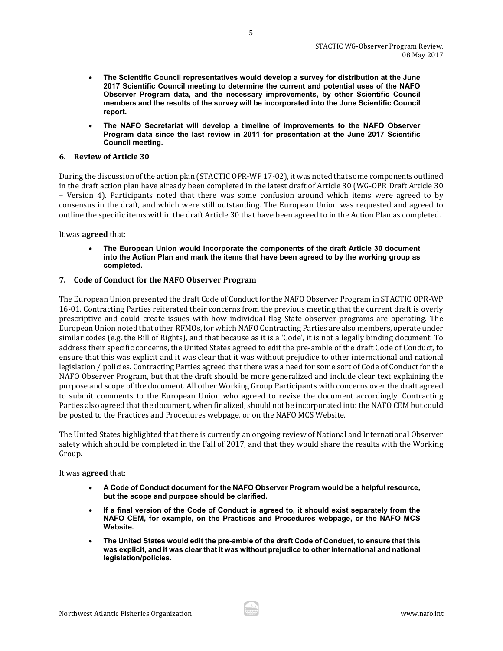- **The Scientific Council representatives would develop a survey for distribution at the June 2017 Scientific Council meeting to determine the current and potential uses of the NAFO Observer Program data, and the necessary improvements, by other Scientific Council members and the results of the survey will be incorporated into the June Scientific Council report.**
- **The NAFO Secretariat will develop a timeline of improvements to the NAFO Observer Program data since the last review in 2011 for presentation at the June 2017 Scientific Council meeting.**

#### <span id="page-4-0"></span>**6. Review of Article 30**

During the discussion of the action plan (STACTIC OPR-WP 17-02), it was noted that some components outlined in the draft action plan have already been completed in the latest draft of Article 30 (WG-OPR Draft Article 30 – Version 4). Participants noted that there was some confusion around which items were agreed to by consensus in the draft, and which were still outstanding. The European Union was requested and agreed to outline the specific items within the draft Article 30 that have been agreed to in the Action Plan as completed.

It was **agreed** that:

• **The European Union would incorporate the components of the draft Article 30 document into the Action Plan and mark the items that have been agreed to by the working group as completed.**

#### <span id="page-4-1"></span>**7. Code of Conduct for the NAFO Observer Program**

The European Union presented the draft Code of Conduct for the NAFO Observer Program in STACTIC OPR-WP 16-01. Contracting Parties reiterated their concerns from the previous meeting that the current draft is overly prescriptive and could create issues with how individual flag State observer programs are operating. The European Union noted that other RFMOs, for which NAFO Contracting Parties are also members, operate under similar codes (e.g. the Bill of Rights), and that because as it is a 'Code', it is not a legally binding document. To address their specific concerns, the United States agreed to edit the pre-amble of the draft Code of Conduct, to ensure that this was explicit and it was clear that it was without prejudice to other international and national legislation / policies. Contracting Parties agreed that there was a need for some sort of Code of Conduct for the NAFO Observer Program, but that the draft should be more generalized and include clear text explaining the purpose and scope of the document. All other Working Group Participants with concerns over the draft agreed to submit comments to the European Union who agreed to revise the document accordingly. Contracting Parties also agreed that the document, when finalized, should not be incorporated into the NAFO CEM but could be posted to the Practices and Procedures webpage, or on the NAFO MCS Website.

The United States highlighted that there is currently an ongoing review of National and International Observer safety which should be completed in the Fall of 2017, and that they would share the results with the Working Group.

It was **agreed** that:

- **A Code of Conduct document for the NAFO Observer Program would be a helpful resource, but the scope and purpose should be clarified.**
- **If a final version of the Code of Conduct is agreed to, it should exist separately from the NAFO CEM, for example, on the Practices and Procedures webpage, or the NAFO MCS Website.**
- **The United States would edit the pre-amble of the draft Code of Conduct, to ensure that this was explicit, and it was clear that it was without prejudice to other international and national legislation/policies.**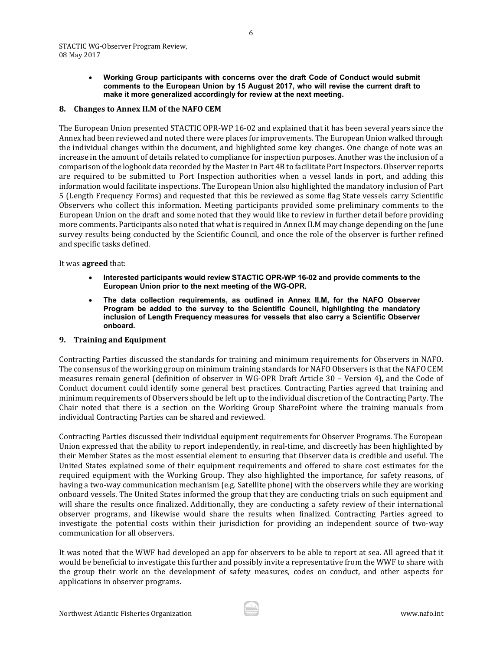STACTIC WG-Observer Program Review, 08 May 2017

> • **Working Group participants with concerns over the draft Code of Conduct would submit comments to the European Union by 15 August 2017, who will revise the current draft to make it more generalized accordingly for review at the next meeting.**

#### <span id="page-5-0"></span>**8. Changes to Annex II.M of the NAFO CEM**

The European Union presented STACTIC OPR-WP 16-02 and explained that it has been several years since the Annex had been reviewed and noted there were places for improvements. The European Union walked through the individual changes within the document, and highlighted some key changes. One change of note was an increase in the amount of details related to compliance for inspection purposes. Another was the inclusion of a comparison of the logbook data recorded by the Master in Part 4B to facilitate Port Inspectors. Observer reports are required to be submitted to Port Inspection authorities when a vessel lands in port, and adding this information would facilitate inspections. The European Union also highlighted the mandatory inclusion of Part 5 (Length Frequency Forms) and requested that this be reviewed as some flag State vessels carry Scientific Observers who collect this information. Meeting participants provided some preliminary comments to the European Union on the draft and some noted that they would like to review in further detail before providing more comments. Participants also noted that what is required in Annex II.M may change depending on the June survey results being conducted by the Scientific Council, and once the role of the observer is further refined and specific tasks defined.

It was **agreed** that:

- **Interested participants would review STACTIC OPR-WP 16-02 and provide comments to the European Union prior to the next meeting of the WG-OPR.**
- **The data collection requirements, as outlined in Annex II.M, for the NAFO Observer Program be added to the survey to the Scientific Council, highlighting the mandatory inclusion of Length Frequency measures for vessels that also carry a Scientific Observer onboard.**

#### <span id="page-5-1"></span>**9. Training and Equipment**

Contracting Parties discussed the standards for training and minimum requirements for Observers in NAFO. The consensus of the working group on minimum training standards for NAFO Observers is that the NAFO CEM measures remain general (definition of observer in WG-OPR Draft Article 30 – Version 4), and the Code of Conduct document could identify some general best practices. Contracting Parties agreed that training and minimum requirements of Observers should be left up to the individual discretion of the Contracting Party. The Chair noted that there is a section on the Working Group SharePoint where the training manuals from individual Contracting Parties can be shared and reviewed.

Contracting Parties discussed their individual equipment requirements for Observer Programs. The European Union expressed that the ability to report independently, in real-time, and discreetly has been highlighted by their Member States as the most essential element to ensuring that Observer data is credible and useful. The United States explained some of their equipment requirements and offered to share cost estimates for the required equipment with the Working Group. They also highlighted the importance, for safety reasons, of having a two-way communication mechanism (e.g. Satellite phone) with the observers while they are working onboard vessels. The United States informed the group that they are conducting trials on such equipment and will share the results once finalized. Additionally, they are conducting a safety review of their international observer programs, and likewise would share the results when finalized. Contracting Parties agreed to investigate the potential costs within their jurisdiction for providing an independent source of two-way communication for all observers.

It was noted that the WWF had developed an app for observers to be able to report at sea. All agreed that it would be beneficial to investigate this further and possibly invite a representative from the WWF to share with the group their work on the development of safety measures, codes on conduct, and other aspects for applications in observer programs.

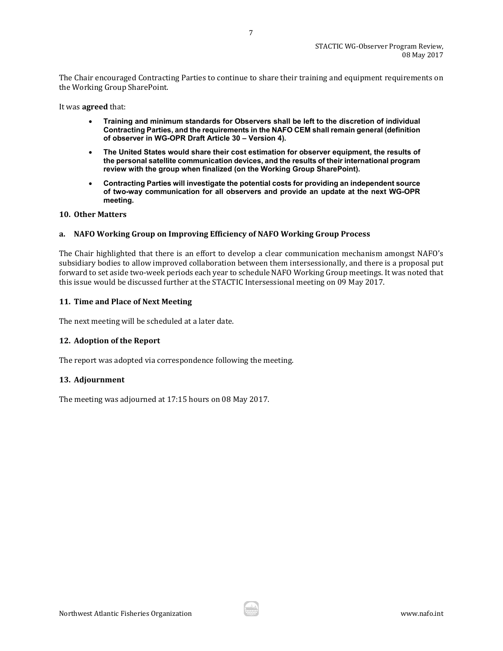The Chair encouraged Contracting Parties to continue to share their training and equipment requirements on the Working Group SharePoint.

It was **agreed** that:

- **Training and minimum standards for Observers shall be left to the discretion of individual Contracting Parties, and the requirements in the NAFO CEM shall remain general (definition of observer in WG-OPR Draft Article 30 – Version 4).**
- **The United States would share their cost estimation for observer equipment, the results of the personal satellite communication devices, and the results of their international program review with the group when finalized (on the Working Group SharePoint).**
- **Contracting Parties will investigate the potential costs for providing an independent source of two-way communication for all observers and provide an update at the next WG-OPR meeting.**

#### <span id="page-6-0"></span>**10. Other Matters**

#### <span id="page-6-1"></span>**a. NAFO Working Group on Improving Efficiency of NAFO Working Group Process**

The Chair highlighted that there is an effort to develop a clear communication mechanism amongst NAFO's subsidiary bodies to allow improved collaboration between them intersessionally, and there is a proposal put forward to set aside two-week periods each year to schedule NAFO Working Group meetings. It was noted that this issue would be discussed further at the STACTIC Intersessional meeting on 09 May 2017.

#### <span id="page-6-2"></span>**11. Time and Place of Next Meeting**

The next meeting will be scheduled at a later date.

## <span id="page-6-3"></span>**12. Adoption of the Report**

The report was adopted via correspondence following the meeting.

#### <span id="page-6-4"></span>**13. Adjournment**

The meeting was adjourned at 17:15 hours on 08 May 2017.

7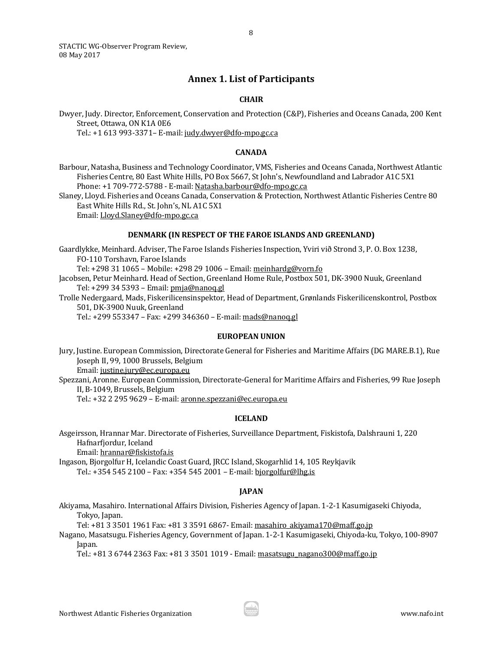<span id="page-7-0"></span>STACTIC WG-Observer Program Review, 08 May 2017

## **Annex 1. List of Participants**

#### **CHAIR**

Dwyer, Judy. Director, Enforcement, Conservation and Protection (C&P), Fisheries and Oceans Canada, 200 Kent Street, Ottawa, ON K1A 0E6

Tel.: +1 613 993-3371– E-mail: [judy.dwyer@dfo-mpo.gc.ca](mailto:judy.dwyer@dfo-mpo.gc.ca)

#### **CANADA**

Barbour, Natasha, Business and Technology Coordinator, VMS, Fisheries and Oceans Canada, Northwest Atlantic Fisheries Centre, 80 East White Hills, PO Box 5667, St John's, Newfoundland and Labrador A1C 5X1 Phone: +1 709-772-5788 - E-mail[: Natasha.barbour@dfo-mpo.gc.ca](mailto:Natasha.barbour@dfo-mpo.gc.ca)

Slaney, Lloyd. Fisheries and Oceans Canada, Conservation & Protection, Northwest Atlantic Fisheries Centre 80 East White Hills Rd., St. John's, NL A1C 5X1

Email[: Lloyd.Slaney@dfo-mpo.gc.ca](mailto:Lloyd.Slaney@dfo-mpo.gc.ca)

#### **DENMARK (IN RESPECT OF THE FAROE ISLANDS AND GREENLAND)**

Gaardlykke, Meinhard. Adviser, The Faroe Islands Fisheries Inspection, Yviri við Strond 3, P. O. Box 1238, FO-110 Torshavn, Faroe Islands

Tel: +298 31 1065 – Mobile: +298 29 1006 – Email[: meinhardg@vorn.fo](mailto:meinhardg@vorn.fo)

Jacobsen, Petur Meinhard. Head of Section, Greenland Home Rule, Postbox 501, DK-3900 Nuuk, Greenland Tel: +299 34 5393 – Email[: pmja@nanoq.gl](mailto:pmja@nanoq.gl)

Trolle Nedergaard, Mads, Fiskerilicensinspektor, Head of Department, Grønlands Fiskerilicenskontrol, Postbox 501, DK-3900 Nuuk, Greenland

Tel.: +299 553347 – Fax: +299 346360 – E-mail: mads@nanoq.gl

#### **EUROPEAN UNION**

Jury, Justine. European Commission, Directorate General for Fisheries and Maritime Affairs (DG MARE.B.1), Rue Joseph II, 99, 1000 Brussels, Belgium

Email[: justine.jury@ec.europa.eu](mailto:justine.jury@ec.europa.eu)

Spezzani, Aronne. European Commission, Directorate-General for Maritime Affairs and Fisheries, 99 Rue Joseph II, B-1049, Brussels, Belgium

Tel.: +32 2 295 9629 – E-mail[: aronne.spezzani@ec.europa.eu](mailto:aronne.spezzani@ec.europa.eu)

#### **ICELAND**

Asgeirsson, Hrannar Mar. Directorate of Fisheries, Surveillance Department, Fiskistofa, Dalshrauni 1, 220 Hafnarfjordur, Iceland Email[: hrannar@fiskistofa.is](mailto:hrannar@fiskistofa.is)

Ingason, Bjorgolfur H, Icelandic Coast Guard, JRCC Island, Skogarhlid 14, 105 Reykjavik Tel.: +354 545 2100 – Fax: +354 545 2001 – E-mail: [bjorgolfur@lhg.is](mailto:bjorgolfur@lhg.is)

#### **JAPAN**

Akiyama, Masahiro. International Affairs Division, Fisheries Agency of Japan. 1-2-1 Kasumigaseki Chiyoda, Tokyo, Japan.

Tel: +81 3 3501 1961 Fax: +81 3 3591 6867- Email: [masahiro\\_akiyama170@maff.go.jp](mailto:masahiro_akiyama170@maff.go.jp)

Nagano, Masatsugu. Fisheries Agency, Government of Japan. 1-2-1 Kasumigaseki, Chiyoda-ku, Tokyo, 100-8907 Japan.

Tel.: +81 3 6744 2363 Fax: +81 3 3501 1019 - Email: [masatsugu\\_nagano300@maff.go.jp](mailto:masatsugu_nagano300@maff.go.jp)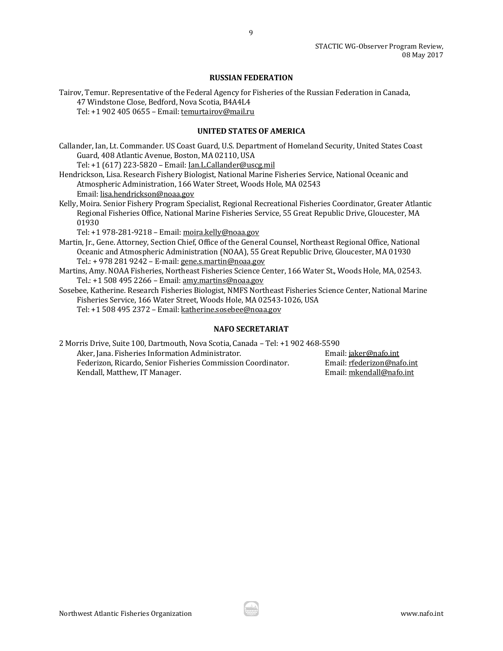#### **RUSSIAN FEDERATION**

Tairov, Temur. Representative of the Federal Agency for Fisheries of the Russian Federation in Canada, 47 Windstone Close, Bedford, Nova Scotia, B4A4L4 Tel: +1 902 405 0655 – Email[: temurtairov@mail.ru](mailto:temurtairov@mail.ru)

## **UNITED STATES OF AMERICA**

Callander, Ian, Lt. Commander. US Coast Guard, U.S. Department of Homeland Security, United States Coast Guard, 408 Atlantic Avenue, Boston, MA 02110, USA

Tel: +1 (617) 223-5820 – Email[: Ian.L.Callander@uscg.mil](mailto:Ian.L.Callander@uscg.mil)

- Hendrickson, Lisa. Research Fishery Biologist, National Marine Fisheries Service, National Oceanic and Atmospheric Administration, 166 Water Street, Woods Hole, MA 02543 Email[: lisa.hendrickson@noaa.gov](mailto:lisa.hendrickson@noaa.gov)
- Kelly, Moira. Senior Fishery Program Specialist, Regional Recreational Fisheries Coordinator, Greater Atlantic Regional Fisheries Office, National Marine Fisheries Service, 55 Great Republic Drive, Gloucester, MA 01930

Tel: +1 978-281-9218 – Email: [moira.kelly@noaa.gov](mailto:moira.kelly@noaa.gov)

Martin, Jr., Gene. Attorney, Section Chief, Office of the General Counsel, Northeast Regional Office, National Oceanic and Atmospheric Administration (NOAA), 55 Great Republic Drive, Gloucester, MA 01930 Tel.: + 978 281 9242 – E-mail[: gene.s.martin@noaa.gov](mailto:gene.s.martin@noaa.gov)

Martins, Amy. NOAA Fisheries, Northeast Fisheries Science Center, 166 Water St., Woods Hole, MA, 02543. Tel.: +1 508 495 2266 – Email[: amy.martins@noaa.gov](mailto:amy.martins@noaa.gov)

Sosebee, Katherine. Research Fisheries Biologist, NMFS Northeast Fisheries Science Center, National Marine Fisheries Service, 166 Water Street, Woods Hole, MA 02543-1026, USA Tel: +1 508 495 2372 – Email[: katherine.sosebee@noaa.gov](mailto:katherine.sosebee@noaa.gov)

## **NAFO SECRETARIAT**

| 2 Morris Drive, Suite 100, Dartmouth, Nova Scotia, Canada - Tel: +1 902 468-5590 |                            |
|----------------------------------------------------------------------------------|----------------------------|
| Aker, Jana. Fisheries Information Administrator.                                 | Email: jaker@nafo.int      |
| Federizon, Ricardo, Senior Fisheries Commission Coordinator.                     | Email: rfederizon@nafo.int |
| Kendall, Matthew, IT Manager.                                                    | Email: mkendall@nafo.int   |

9